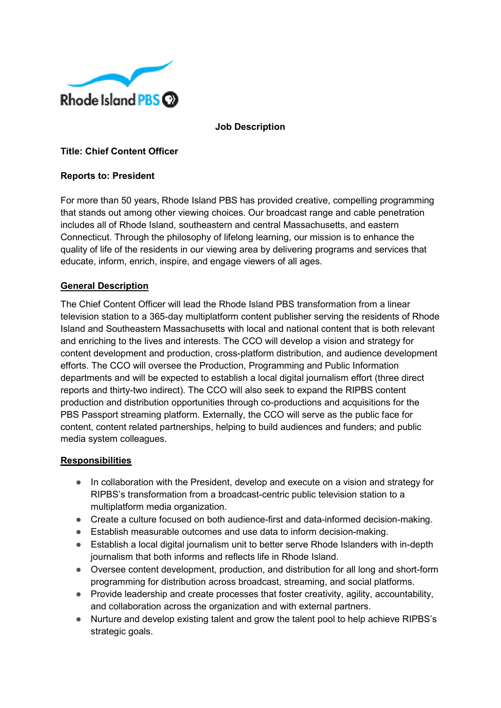

**Job Description**

## **Title: Chief Content Officer**

#### **Reports to: President**

For more than 50 years, Rhode Island PBS has provided creative, compelling programming that stands out among other viewing choices. Our broadcast range and cable penetration includes all of Rhode Island, southeastern and central Massachusetts, and eastern Connecticut. Through the philosophy of lifelong learning, our mission is to enhance the quality of life of the residents in our viewing area by delivering programs and services that educate, inform, enrich, inspire, and engage viewers of all ages.

## **General Description**

The Chief Content Officer will lead the Rhode Island PBS transformation from a linear television station to a 365-day multiplatform content publisher serving the residents of Rhode Island and Southeastern Massachusetts with local and national content that is both relevant and enriching to the lives and interests. The CCO will develop a vision and strategy for content development and production, cross-platform distribution, and audience development efforts. The CCO will oversee the Production, Programming and Public Information departments and will be expected to establish a local digital journalism effort (three direct reports and thirty-two indirect). The CCO will also seek to expand the RIPBS content production and distribution opportunities through co-productions and acquisitions for the PBS Passport streaming platform. Externally, the CCO will serve as the public face for content, content related partnerships, helping to build audiences and funders; and public media system colleagues.

#### **Responsibilities**

- In collaboration with the President, develop and execute on a vision and strategy for RIPBS's transformation from a broadcast-centric public television station to a multiplatform media organization.
- Create a culture focused on both audience-first and data-informed decision-making.
- Establish measurable outcomes and use data to inform decision-making.
- Establish a local digital journalism unit to better serve Rhode Islanders with in-depth journalism that both informs and reflects life in Rhode Island.
- Oversee content development, production, and distribution for all long and short-form programming for distribution across broadcast, streaming, and social platforms.
- Provide leadership and create processes that foster creativity, agility, accountability, and collaboration across the organization and with external partners.
- Nurture and develop existing talent and grow the talent pool to help achieve RIPBS's strategic goals.